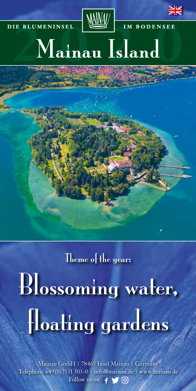



# DIE BLUMENINSEL IM BODENSEE Mainau Island

Theme of the year:

Blossoming water, floating gardens

Mainau GmbH | 78465 Insel Mainau | Germany Telephone +49(0)7531 303-0 | info@mainau.de | www.mainau.de Follow us on  $f \setminus f$  or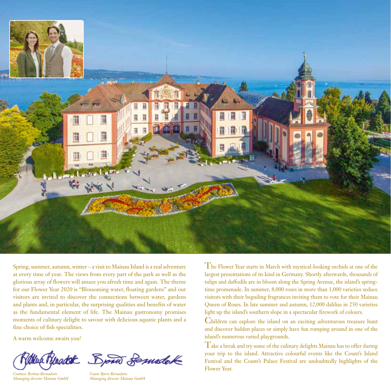

Spring, summer, autumn, winter – a visit to Mainau Island is a real adventure at every time of year. The views from every part of the park as well as the glorious array of flowers will amaze you afresh time and again. The theme for our Flower Year 2020 is "Blossoming water, floating gardens" and our visitors are invited to discover the connections between water, gardens and plants and, in particular, the surprising qualities and benefits of water as the fundamental element of life. The Mainau gastronomy promises moments of culinary delight to savour with delicious aquatic plants and a fine choice of fish specialities.

A warm welcome awaits you!

*Countess Bettina Bernadotte Managing director Mainau GmbH*



*Count Björn Bernadotte Managing director Mainau GmbH*

The Flower Year starts in March with mystical-looking orchids at one of the largest presentations of its kind in Germany. Shortly afterwards, thousands of tulips and daffodils are in bloom along the Spring Avenue, the island's springtime promenade. In summer, 8,000 roses in more than 1,000 varieties seduce visitors with their beguiling fragrances inviting them to vote for their Mainau Queen of Roses. In late summer and autumn, 12,000 dahlias in 250 varieties light up the island's southern slope in a spectacular firework of colours.

Children can explore the island on an exciting adventurous treasure hunt and discover hidden places or simply have fun romping around in one of the island's numerous varied playgrounds.

Take a break and try some of the culinary delights Mainau has to offer during your trip to the island. Attractive colourful events like the Count's Island Festival and the Count's Palace Festival are undoubtedly highlights of the Flower Year.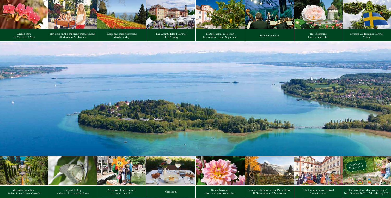Tulips and spring blossoms March to May

The Count's Island Festival  $21$  to  $24$  May

the second companies and in the first

Swedish Midsummer Festival 20 June



Rose blossoms June to September Summer concerts Historic citrus collection End of May to mid-September

Dahlia blossoms An entire children's land<br>to romp around in!<br>End of August to October

Have fun on the children's treasure hunt! 20 March to 25 October

> Autumn exhibition in the Palm House 18 September to 1 November





to romp around in!





The Count's Palace Festival 1 to 4 October

Tropical feeling in the exotic Butterfly House



"The varied world of wooden toys" 16th October 2020 to 7th February 2021



Orchid show 20 March to 3 May





Mediterranean flair – Italian Floral Water Cascade